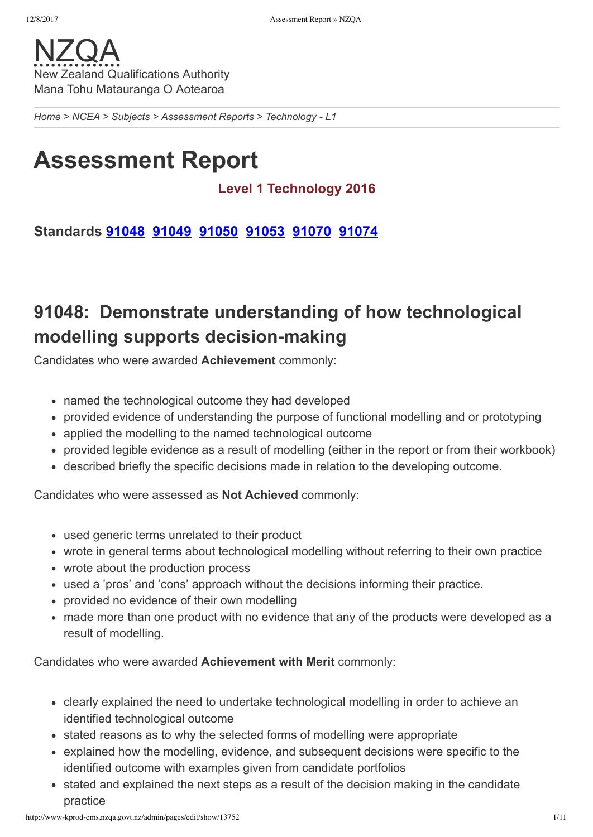*[Home](http://www-kprod-cms.nzqa.govt.nz/home) > [NCEA](http://www-kprod-cms.nzqa.govt.nz/ncea/) > [Subjects](http://www-kprod-cms.nzqa.govt.nz/ncea/subjects/) > [Assessment](http://www-kprod-cms.nzqa.govt.nz/ncea/subjects/assessment-reports/) Reports > Technology L1*

# **Assessment Report**

## **Level 1 Technology 2016**

**Standards [91048](http://www-kprod-cms.nzqa.govt.nz/ncea/subjects/assessment-reports/technology-l1/?stage=Stage#91048) [91049](http://www-kprod-cms.nzqa.govt.nz/ncea/subjects/assessment-reports/technology-l1/?stage=Stage#91049) [91050](http://www-kprod-cms.nzqa.govt.nz/ncea/subjects/assessment-reports/technology-l1/?stage=Stage#91050) [91053](http://www-kprod-cms.nzqa.govt.nz/ncea/subjects/assessment-reports/technology-l1/?stage=Stage#91053) [91070](http://www-kprod-cms.nzqa.govt.nz/ncea/subjects/assessment-reports/technology-l1/?stage=Stage#91070) [91074](http://www-kprod-cms.nzqa.govt.nz/ncea/subjects/assessment-reports/technology-l1/?stage=Stage#91074)**

## **91048: Demonstrate understanding of how technological modelling supports decision-making**

Candidates who were awarded **Achievement** commonly:

- named the technological outcome they had developed
- provided evidence of understanding the purpose of functional modelling and or prototyping
- applied the modelling to the named technological outcome
- provided legible evidence as a result of modelling (either in the report or from their workbook)
- described briefly the specific decisions made in relation to the developing outcome.

Candidates who were assessed as **Not Achieved** commonly:

- used generic terms unrelated to their product
- wrote in general terms about technological modelling without referring to their own practice
- wrote about the production process
- used a 'pros' and 'cons' approach without the decisions informing their practice.
- provided no evidence of their own modelling
- made more than one product with no evidence that any of the products were developed as a result of modelling.

- clearly explained the need to undertake technological modelling in order to achieve an identified technological outcome
- stated reasons as to why the selected forms of modelling were appropriate
- explained how the modelling, evidence, and subsequent decisions were specific to the identified outcome with examples given from candidate portfolios
- stated and explained the next steps as a result of the decision making in the candidate practice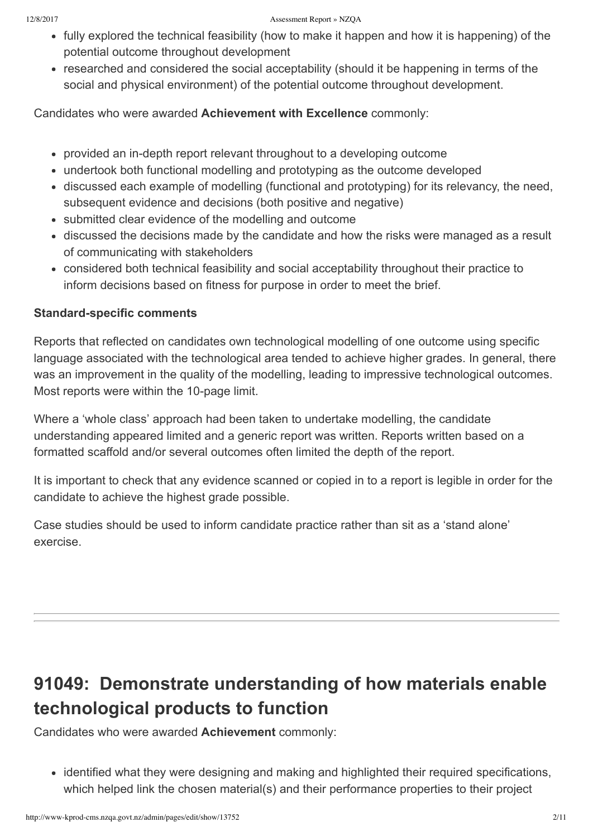#### 12/8/2017 Assessment Report » NZQA

- fully explored the technical feasibility (how to make it happen and how it is happening) of the potential outcome throughout development
- researched and considered the social acceptability (should it be happening in terms of the social and physical environment) of the potential outcome throughout development.

Candidates who were awarded **Achievement with Excellence** commonly:

- provided an in-depth report relevant throughout to a developing outcome
- undertook both functional modelling and prototyping as the outcome developed
- discussed each example of modelling (functional and prototyping) for its relevancy, the need, subsequent evidence and decisions (both positive and negative)
- submitted clear evidence of the modelling and outcome
- discussed the decisions made by the candidate and how the risks were managed as a result of communicating with stakeholders
- considered both technical feasibility and social acceptability throughout their practice to inform decisions based on fitness for purpose in order to meet the brief.

### **Standard-specific comments**

Reports that reflected on candidates own technological modelling of one outcome using specific language associated with the technological area tended to achieve higher grades. In general, there was an improvement in the quality of the modelling, leading to impressive technological outcomes. Most reports were within the 10-page limit.

Where a 'whole class' approach had been taken to undertake modelling, the candidate understanding appeared limited and a generic report was written. Reports written based on a formatted scaffold and/or several outcomes often limited the depth of the report.

It is important to check that any evidence scanned or copied in to a report is legible in order for the candidate to achieve the highest grade possible.

Case studies should be used to inform candidate practice rather than sit as a 'stand alone' exercise.

## **91049: Demonstrate understanding of how materials enable technological products to function**

Candidates who were awarded **Achievement** commonly:

• identified what they were designing and making and highlighted their required specifications, which helped link the chosen material(s) and their performance properties to their project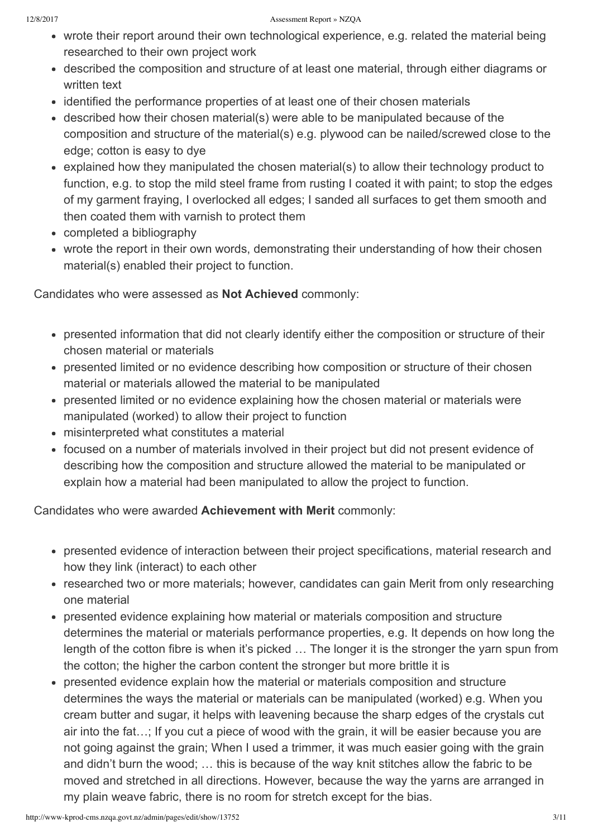- wrote their report around their own technological experience, e.g. related the material being researched to their own project work
- described the composition and structure of at least one material, through either diagrams or written text
- identified the performance properties of at least one of their chosen materials
- described how their chosen material(s) were able to be manipulated because of the composition and structure of the material(s) e.g. plywood can be nailed/screwed close to the edge; cotton is easy to dye
- explained how they manipulated the chosen material(s) to allow their technology product to function, e.g. to stop the mild steel frame from rusting I coated it with paint; to stop the edges of my garment fraying, I overlocked all edges; I sanded all surfaces to get them smooth and then coated them with varnish to protect them
- completed a bibliography
- wrote the report in their own words, demonstrating their understanding of how their chosen material(s) enabled their project to function.

Candidates who were assessed as **Not Achieved** commonly:

- presented information that did not clearly identify either the composition or structure of their chosen material or materials
- presented limited or no evidence describing how composition or structure of their chosen material or materials allowed the material to be manipulated
- presented limited or no evidence explaining how the chosen material or materials were manipulated (worked) to allow their project to function
- misinterpreted what constitutes a material
- focused on a number of materials involved in their project but did not present evidence of describing how the composition and structure allowed the material to be manipulated or explain how a material had been manipulated to allow the project to function.

- presented evidence of interaction between their project specifications, material research and how they link (interact) to each other
- researched two or more materials; however, candidates can gain Merit from only researching one material
- presented evidence explaining how material or materials composition and structure determines the material or materials performance properties, e.g. It depends on how long the length of the cotton fibre is when it's picked … The longer it is the stronger the yarn spun from the cotton; the higher the carbon content the stronger but more brittle it is
- presented evidence explain how the material or materials composition and structure determines the ways the material or materials can be manipulated (worked) e.g. When you cream butter and sugar, it helps with leavening because the sharp edges of the crystals cut air into the fat…; If you cut a piece of wood with the grain, it will be easier because you are not going against the grain; When I used a trimmer, it was much easier going with the grain and didn't burn the wood; … this is because of the way knit stitches allow the fabric to be moved and stretched in all directions. However, because the way the yarns are arranged in my plain weave fabric, there is no room for stretch except for the bias.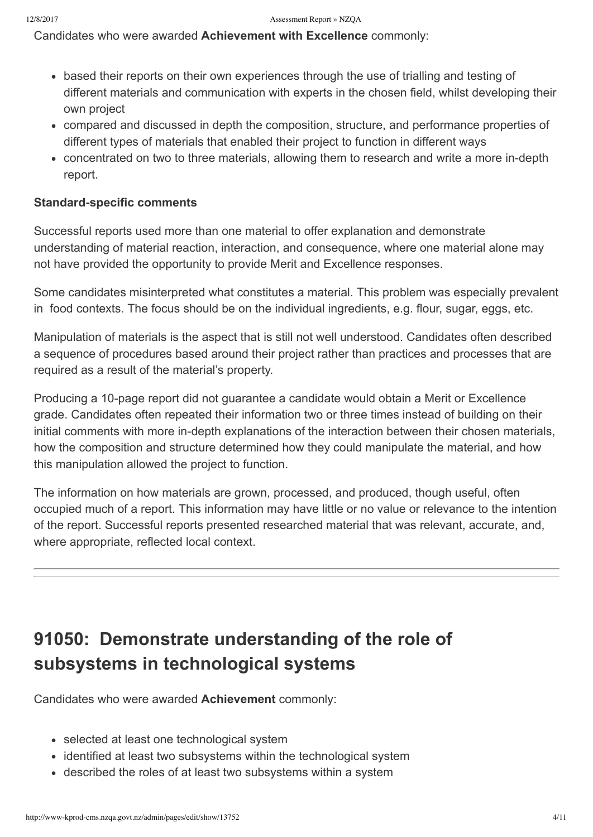Candidates who were awarded **Achievement with Excellence** commonly:

- based their reports on their own experiences through the use of trialling and testing of different materials and communication with experts in the chosen field, whilst developing their own project
- compared and discussed in depth the composition, structure, and performance properties of different types of materials that enabled their project to function in different ways
- concentrated on two to three materials, allowing them to research and write a more in-depth report.

### **Standard-specific comments**

Successful reports used more than one material to offer explanation and demonstrate understanding of material reaction, interaction, and consequence, where one material alone may not have provided the opportunity to provide Merit and Excellence responses.

Some candidates misinterpreted what constitutes a material. This problem was especially prevalent in food contexts. The focus should be on the individual ingredients, e.g. flour, sugar, eggs, etc.

Manipulation of materials is the aspect that is still not well understood. Candidates often described a sequence of procedures based around their project rather than practices and processes that are required as a result of the material's property.

Producing a 10-page report did not guarantee a candidate would obtain a Merit or Excellence grade. Candidates often repeated their information two or three times instead of building on their initial comments with more in-depth explanations of the interaction between their chosen materials, how the composition and structure determined how they could manipulate the material, and how this manipulation allowed the project to function.

The information on how materials are grown, processed, and produced, though useful, often occupied much of a report. This information may have little or no value or relevance to the intention of the report. Successful reports presented researched material that was relevant, accurate, and, where appropriate, reflected local context.

## **91050: Demonstrate understanding of the role of subsystems in technological systems**

Candidates who were awarded **Achievement** commonly:

- selected at least one technological system
- identified at least two subsystems within the technological system
- described the roles of at least two subsystems within a system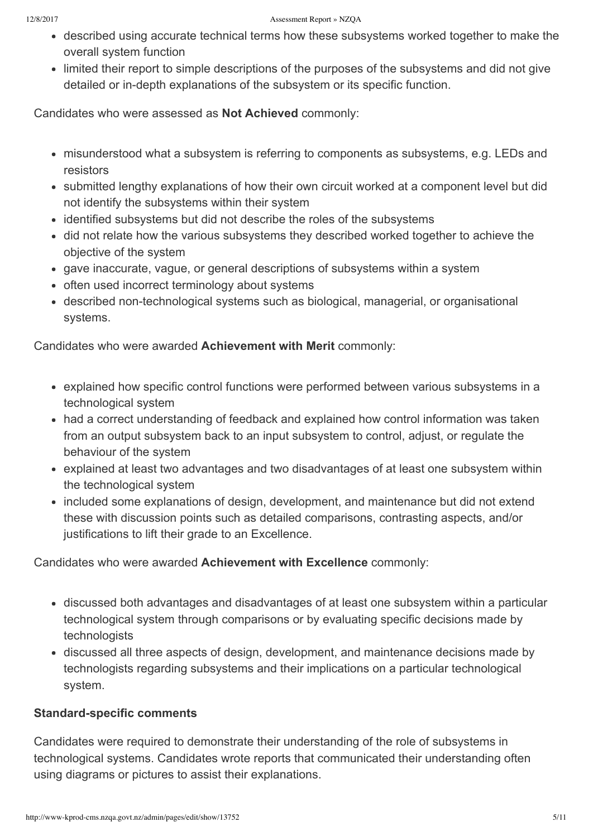- described using accurate technical terms how these subsystems worked together to make the overall system function
- limited their report to simple descriptions of the purposes of the subsystems and did not give detailed or in-depth explanations of the subsystem or its specific function.

Candidates who were assessed as **Not Achieved** commonly:

- misunderstood what a subsystem is referring to components as subsystems, e.g. LEDs and resistors
- submitted lengthy explanations of how their own circuit worked at a component level but did not identify the subsystems within their system
- identified subsystems but did not describe the roles of the subsystems
- did not relate how the various subsystems they described worked together to achieve the objective of the system
- gave inaccurate, vague, or general descriptions of subsystems within a system
- often used incorrect terminology about systems
- described non-technological systems such as biological, managerial, or organisational systems.

Candidates who were awarded **Achievement with Merit** commonly:

- explained how specific control functions were performed between various subsystems in a technological system
- had a correct understanding of feedback and explained how control information was taken from an output subsystem back to an input subsystem to control, adjust, or regulate the behaviour of the system
- explained at least two advantages and two disadvantages of at least one subsystem within the technological system
- included some explanations of design, development, and maintenance but did not extend these with discussion points such as detailed comparisons, contrasting aspects, and/or justifications to lift their grade to an Excellence.

Candidates who were awarded **Achievement with Excellence** commonly:

- discussed both advantages and disadvantages of at least one subsystem within a particular technological system through comparisons or by evaluating specific decisions made by technologists
- discussed all three aspects of design, development, and maintenance decisions made by technologists regarding subsystems and their implications on a particular technological system.

### **Standard-specific comments**

Candidates were required to demonstrate their understanding of the role of subsystems in technological systems. Candidates wrote reports that communicated their understanding often using diagrams or pictures to assist their explanations.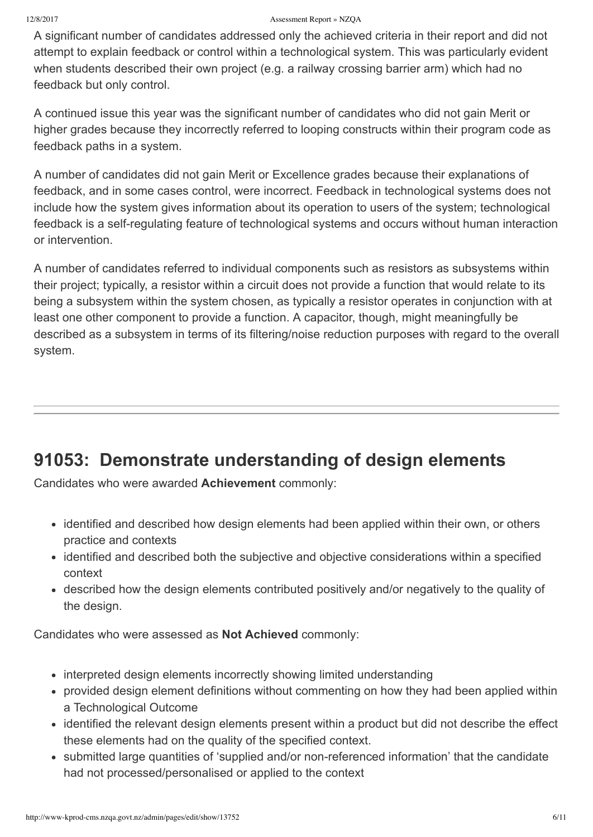#### 12/8/2017 Assessment Report » NZQA

A significant number of candidates addressed only the achieved criteria in their report and did not attempt to explain feedback or control within a technological system. This was particularly evident when students described their own project (e.g. a railway crossing barrier arm) which had no feedback but only control.

A continued issue this year was the significant number of candidates who did not gain Merit or higher grades because they incorrectly referred to looping constructs within their program code as feedback paths in a system.

A number of candidates did not gain Merit or Excellence grades because their explanations of feedback, and in some cases control, were incorrect. Feedback in technological systems does not include how the system gives information about its operation to users of the system; technological feedback is a self-regulating feature of technological systems and occurs without human interaction or intervention.

A number of candidates referred to individual components such as resistors as subsystems within their project; typically, a resistor within a circuit does not provide a function that would relate to its being a subsystem within the system chosen, as typically a resistor operates in conjunction with at least one other component to provide a function. A capacitor, though, might meaningfully be described as a subsystem in terms of its filtering/noise reduction purposes with regard to the overall system.

## **91053: Demonstrate understanding of design elements**

Candidates who were awarded **Achievement** commonly:

- identified and described how design elements had been applied within their own, or others practice and contexts
- identified and described both the subjective and objective considerations within a specified context
- described how the design elements contributed positively and/or negatively to the quality of the design.

Candidates who were assessed as **Not Achieved** commonly:

- interpreted design elements incorrectly showing limited understanding
- provided design element definitions without commenting on how they had been applied within a Technological Outcome
- identified the relevant design elements present within a product but did not describe the effect these elements had on the quality of the specified context.
- submitted large quantities of 'supplied and/or non-referenced information' that the candidate had not processed/personalised or applied to the context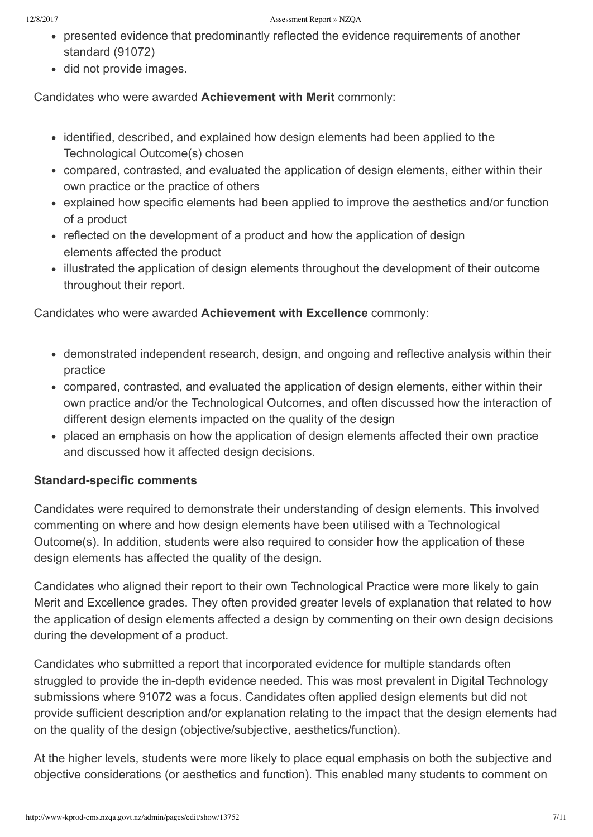- presented evidence that predominantly reflected the evidence requirements of another standard (91072)
- did not provide images.

Candidates who were awarded **Achievement with Merit** commonly:

- identified, described, and explained how design elements had been applied to the Technological Outcome(s) chosen
- compared, contrasted, and evaluated the application of design elements, either within their own practice or the practice of others
- explained how specific elements had been applied to improve the aesthetics and/or function of a product
- reflected on the development of a product and how the application of design elements affected the product
- illustrated the application of design elements throughout the development of their outcome throughout their report.

Candidates who were awarded **Achievement with Excellence** commonly:

- demonstrated independent research, design, and ongoing and reflective analysis within their practice
- compared, contrasted, and evaluated the application of design elements, either within their own practice and/or the Technological Outcomes, and often discussed how the interaction of different design elements impacted on the quality of the design
- placed an emphasis on how the application of design elements affected their own practice and discussed how it affected design decisions.

### **Standard-specific comments**

Candidates were required to demonstrate their understanding of design elements. This involved commenting on where and how design elements have been utilised with a Technological Outcome(s). In addition, students were also required to consider how the application of these design elements has affected the quality of the design.

Candidates who aligned their report to their own Technological Practice were more likely to gain Merit and Excellence grades. They often provided greater levels of explanation that related to how the application of design elements affected a design by commenting on their own design decisions during the development of a product.

Candidates who submitted a report that incorporated evidence for multiple standards often struggled to provide the in-depth evidence needed. This was most prevalent in Digital Technology submissions where 91072 was a focus. Candidates often applied design elements but did not provide sufficient description and/or explanation relating to the impact that the design elements had on the quality of the design (objective/subjective, aesthetics/function).

At the higher levels, students were more likely to place equal emphasis on both the subjective and objective considerations (or aesthetics and function). This enabled many students to comment on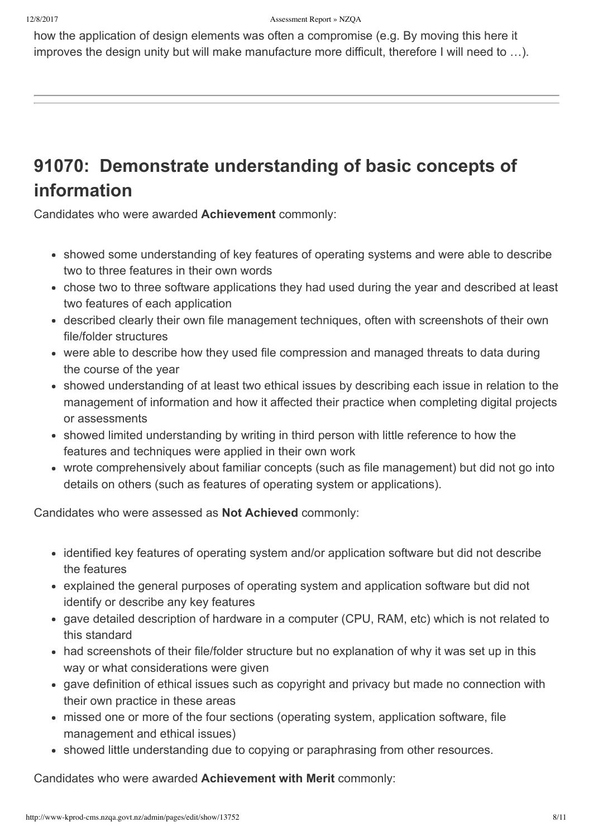how the application of design elements was often a compromise (e.g. By moving this here it improves the design unity but will make manufacture more difficult, therefore I will need to …).

## **91070: Demonstrate understanding of basic concepts of information**

Candidates who were awarded **Achievement** commonly:

- showed some understanding of key features of operating systems and were able to describe two to three features in their own words
- chose two to three software applications they had used during the year and described at least two features of each application
- described clearly their own file management techniques, often with screenshots of their own file/folder structures
- were able to describe how they used file compression and managed threats to data during the course of the year
- showed understanding of at least two ethical issues by describing each issue in relation to the management of information and how it affected their practice when completing digital projects or assessments
- showed limited understanding by writing in third person with little reference to how the features and techniques were applied in their own work
- wrote comprehensively about familiar concepts (such as file management) but did not go into details on others (such as features of operating system or applications).

Candidates who were assessed as **Not Achieved** commonly:

- identified key features of operating system and/or application software but did not describe the features
- explained the general purposes of operating system and application software but did not identify or describe any key features
- gave detailed description of hardware in a computer (CPU, RAM, etc) which is not related to this standard
- had screenshots of their file/folder structure but no explanation of why it was set up in this way or what considerations were given
- gave definition of ethical issues such as copyright and privacy but made no connection with their own practice in these areas
- missed one or more of the four sections (operating system, application software, file management and ethical issues)
- showed little understanding due to copying or paraphrasing from other resources.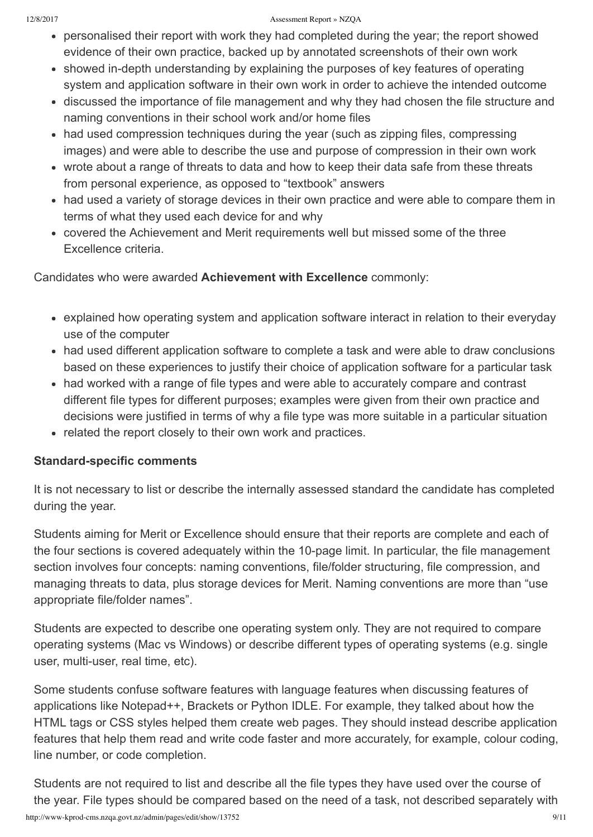#### 12/8/2017 Assessment Report » NZQA

- personalised their report with work they had completed during the year; the report showed evidence of their own practice, backed up by annotated screenshots of their own work
- showed in-depth understanding by explaining the purposes of key features of operating system and application software in their own work in order to achieve the intended outcome
- discussed the importance of file management and why they had chosen the file structure and naming conventions in their school work and/or home files
- had used compression techniques during the year (such as zipping files, compressing images) and were able to describe the use and purpose of compression in their own work
- wrote about a range of threats to data and how to keep their data safe from these threats from personal experience, as opposed to "textbook" answers
- had used a variety of storage devices in their own practice and were able to compare them in terms of what they used each device for and why
- covered the Achievement and Merit requirements well but missed some of the three Excellence criteria.

Candidates who were awarded **Achievement with Excellence** commonly:

- explained how operating system and application software interact in relation to their everyday use of the computer
- had used different application software to complete a task and were able to draw conclusions based on these experiences to justify their choice of application software for a particular task
- had worked with a range of file types and were able to accurately compare and contrast different file types for different purposes; examples were given from their own practice and decisions were justified in terms of why a file type was more suitable in a particular situation
- related the report closely to their own work and practices.

### **Standard-specific comments**

It is not necessary to list or describe the internally assessed standard the candidate has completed during the year.

Students aiming for Merit or Excellence should ensure that their reports are complete and each of the four sections is covered adequately within the 10-page limit. In particular, the file management section involves four concepts: naming conventions, file/folder structuring, file compression, and managing threats to data, plus storage devices for Merit. Naming conventions are more than "use appropriate file/folder names".

Students are expected to describe one operating system only. They are not required to compare operating systems (Mac vs Windows) or describe different types of operating systems (e.g. single user, multi-user, real time, etc).

Some students confuse software features with language features when discussing features of applications like Notepad++, Brackets or Python IDLE. For example, they talked about how the HTML tags or CSS styles helped them create web pages. They should instead describe application features that help them read and write code faster and more accurately, for example, colour coding, line number, or code completion.

Students are not required to list and describe all the file types they have used over the course of the year. File types should be compared based on the need of a task, not described separately with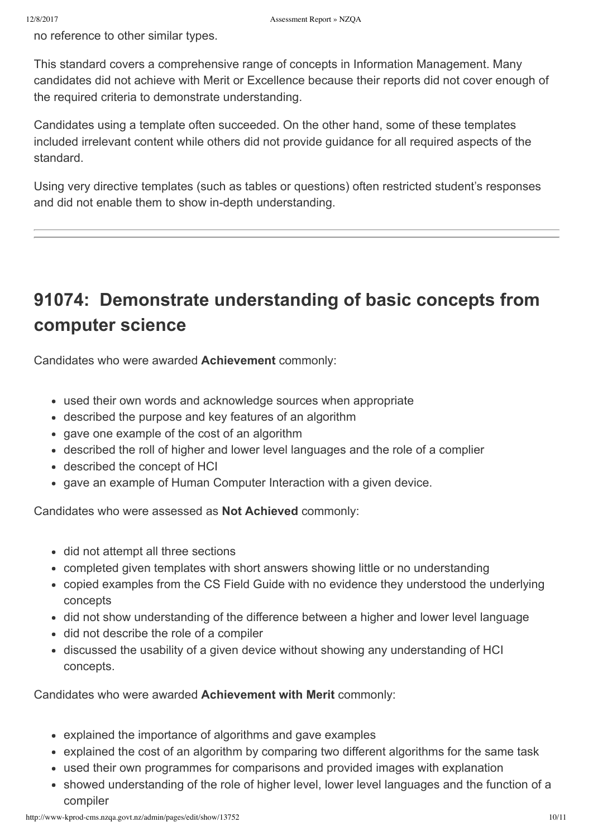no reference to other similar types.

This standard covers a comprehensive range of concepts in Information Management. Many candidates did not achieve with Merit or Excellence because their reports did not cover enough of the required criteria to demonstrate understanding.

Candidates using a template often succeeded. On the other hand, some of these templates included irrelevant content while others did not provide guidance for all required aspects of the standard.

Using very directive templates (such as tables or questions) often restricted student's responses and did not enable them to show in-depth understanding.

## **91074: Demonstrate understanding of basic concepts from computer science**

Candidates who were awarded **Achievement** commonly:

- used their own words and acknowledge sources when appropriate
- described the purpose and key features of an algorithm
- gave one example of the cost of an algorithm
- described the roll of higher and lower level languages and the role of a complier
- described the concept of HCI
- gave an example of Human Computer Interaction with a given device.

Candidates who were assessed as **Not Achieved** commonly:

- did not attempt all three sections
- completed given templates with short answers showing little or no understanding
- copied examples from the CS Field Guide with no evidence they understood the underlying concepts
- did not show understanding of the difference between a higher and lower level language
- did not describe the role of a compiler
- discussed the usability of a given device without showing any understanding of HCI concepts.

- explained the importance of algorithms and gave examples
- explained the cost of an algorithm by comparing two different algorithms for the same task
- used their own programmes for comparisons and provided images with explanation
- showed understanding of the role of higher level, lower level languages and the function of a compiler